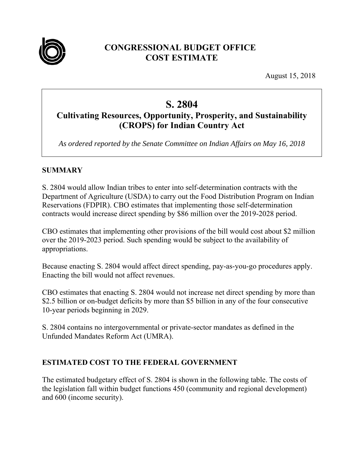

# **CONGRESSIONAL BUDGET OFFICE COST ESTIMATE**

August 15, 2018

# **S. 2804**

# **Cultivating Resources, Opportunity, Prosperity, and Sustainability (CROPS) for Indian Country Act**

*As ordered reported by the Senate Committee on Indian Affairs on May 16, 2018* 

## **SUMMARY**

S. 2804 would allow Indian tribes to enter into self-determination contracts with the Department of Agriculture (USDA) to carry out the Food Distribution Program on Indian Reservations (FDPIR). CBO estimates that implementing those self-determination contracts would increase direct spending by \$86 million over the 2019-2028 period.

CBO estimates that implementing other provisions of the bill would cost about \$2 million over the 2019-2023 period. Such spending would be subject to the availability of appropriations.

Because enacting S. 2804 would affect direct spending, pay-as-you-go procedures apply. Enacting the bill would not affect revenues.

CBO estimates that enacting S. 2804 would not increase net direct spending by more than \$2.5 billion or on-budget deficits by more than \$5 billion in any of the four consecutive 10-year periods beginning in 2029.

S. 2804 contains no intergovernmental or private-sector mandates as defined in the Unfunded Mandates Reform Act (UMRA).

# **ESTIMATED COST TO THE FEDERAL GOVERNMENT**

The estimated budgetary effect of S. 2804 is shown in the following table. The costs of the legislation fall within budget functions 450 (community and regional development) and 600 (income security).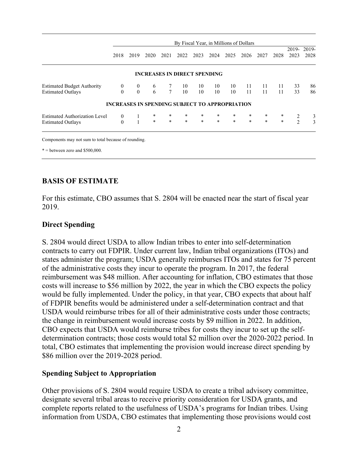|                                   | By Fiscal Year, in Millions of Dollars                |              |                                     |                 |        |        |         |        |        |        |        |      |                    |
|-----------------------------------|-------------------------------------------------------|--------------|-------------------------------------|-----------------|--------|--------|---------|--------|--------|--------|--------|------|--------------------|
|                                   | 2018                                                  | 2019         | 2020                                | 2021            | 2022   | 2023   | 2024    | 2025   | 2026   | 2027   | 2028   | 2023 | 2019-2019-<br>2028 |
|                                   |                                                       |              | <b>INCREASES IN DIRECT SPENDING</b> |                 |        |        |         |        |        |        |        |      |                    |
| <b>Estimated Budget Authority</b> | $\theta$                                              | $\mathbf{0}$ | 6                                   |                 | 10     | 10     | 10      | 10     | 11     | 11     | 11     | 33   | 86                 |
| <b>Estimated Outlays</b>          | $\Omega$                                              | $\theta$     | 6                                   | $7\overline{ }$ | 10     | 10     | 10      | 10     | 11     | 11     | 11     | 33   | 86                 |
|                                   | <b>INCREASES IN SPENDING SUBJECT TO APPROPRIATION</b> |              |                                     |                 |        |        |         |        |        |        |        |      |                    |
| Estimated Authorization Level     | $\overline{0}$                                        | 1            | $\ast$                              | $*$             | $\ast$ | $\ast$ | $\star$ | $\ast$ | $\ast$ | $*$    | $\ast$ | 2    | 3                  |
| <b>Estimated Outlays</b>          | $\Omega$                                              | $\mathbf{1}$ | $\ast$                              | $\star$         | $\ast$ | $\ast$ | $\star$ | $\ast$ | $\ast$ | $\ast$ | $\ast$ | 2    | 3                  |
|                                   |                                                       |              |                                     |                 |        |        |         |        |        |        |        |      |                    |

Components may not sum to total because of rounding.

 $* =$  between zero and \$500,000.

### **BASIS OF ESTIMATE**

For this estimate, CBO assumes that S. 2804 will be enacted near the start of fiscal year 2019.

#### **Direct Spending**

S. 2804 would direct USDA to allow Indian tribes to enter into self-determination contracts to carry out FDPIR. Under current law, Indian tribal organizations (ITOs) and states administer the program; USDA generally reimburses ITOs and states for 75 percent of the administrative costs they incur to operate the program. In 2017, the federal reimbursement was \$48 million. After accounting for inflation, CBO estimates that those costs will increase to \$56 million by 2022, the year in which the CBO expects the policy would be fully implemented. Under the policy, in that year, CBO expects that about half of FDPIR benefits would be administered under a self-determination contract and that USDA would reimburse tribes for all of their administrative costs under those contracts; the change in reimbursement would increase costs by \$9 million in 2022. In addition, CBO expects that USDA would reimburse tribes for costs they incur to set up the selfdetermination contracts; those costs would total \$2 million over the 2020-2022 period. In total, CBO estimates that implementing the provision would increase direct spending by \$86 million over the 2019-2028 period.

#### **Spending Subject to Appropriation**

Other provisions of S. 2804 would require USDA to create a tribal advisory committee, designate several tribal areas to receive priority consideration for USDA grants, and complete reports related to the usefulness of USDA's programs for Indian tribes. Using information from USDA, CBO estimates that implementing those provisions would cost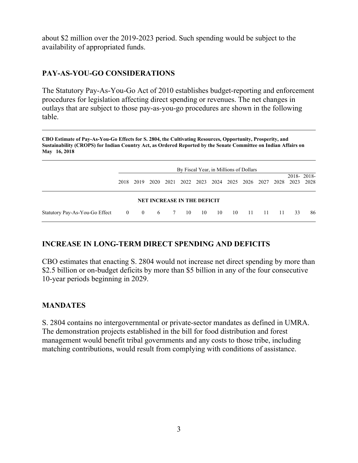about \$2 million over the 2019-2023 period. Such spending would be subject to the availability of appropriated funds.

# **PAY-AS-YOU-GO CONSIDERATIONS**

The Statutory Pay-As-You-Go Act of 2010 establishes budget-reporting and enforcement procedures for legislation affecting direct spending or revenues. The net changes in outlays that are subject to those pay-as-you-go procedures are shown in the following table.

**CBO Estimate of Pay-As-You-Go Effects for S. 2804, the Cultivating Resources, Opportunity, Prosperity, and Sustainability (CROPS) for Indian Country Act, as Ordered Reported by the Senate Committee on Indian Affairs on May 16, 2018** 

|                                | By Fiscal Year, in Millions of Dollars |      |  |  |                                                        |  |  |  |  |  |       |    |            |
|--------------------------------|----------------------------------------|------|--|--|--------------------------------------------------------|--|--|--|--|--|-------|----|------------|
|                                | 2018                                   | 2019 |  |  | 2020 2021 2022 2023 2024 2025 2026 2027 2028 2023 2028 |  |  |  |  |  |       |    | 2018-2018- |
|                                |                                        |      |  |  | <b>NET INCREASE IN THE DEFICIT</b>                     |  |  |  |  |  |       |    |            |
| Statutory Pay-As-You-Go Effect |                                        |      |  |  | 0 0 6 7 10 10 10 10 11 11                              |  |  |  |  |  | $-11$ | 33 | 86         |

# **INCREASE IN LONG-TERM DIRECT SPENDING AND DEFICITS**

CBO estimates that enacting S. 2804 would not increase net direct spending by more than \$2.5 billion or on-budget deficits by more than \$5 billion in any of the four consecutive 10-year periods beginning in 2029.

# **MANDATES**

S. 2804 contains no intergovernmental or private-sector mandates as defined in UMRA. The demonstration projects established in the bill for food distribution and forest management would benefit tribal governments and any costs to those tribe, including matching contributions, would result from complying with conditions of assistance.